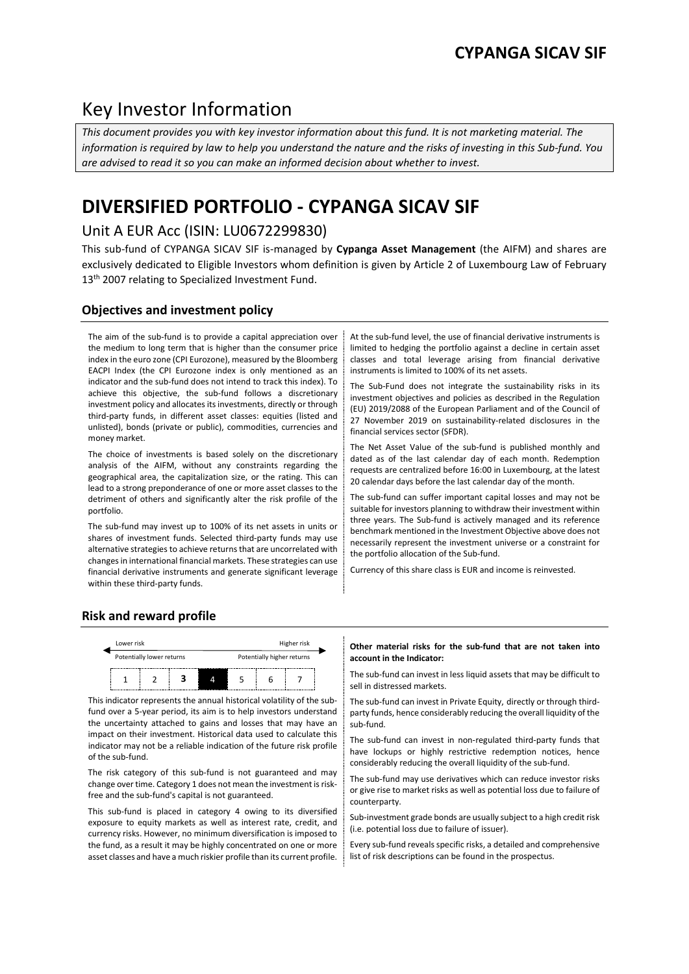## Key Investor Information

*This document provides you with key investor information about this fund. It is not marketing material. The information is required by law to help you understand the nature and the risks of investing in this Sub-fund. You are advised to read it so you can make an informed decision about whether to invest.*

# **DIVERSIFIED PORTFOLIO - CYPANGA SICAV SIF**

## Unit A EUR Acc (ISIN: LU0672299830)

This sub-fund of CYPANGA SICAV SIF is-managed by **Cypanga Asset Management** (the AIFM) and shares are exclusively dedicated to Eligible Investors whom definition is given by Article 2 of Luxembourg Law of February 13<sup>th</sup> 2007 relating to Specialized Investment Fund.

## **Objectives and investment policy**

The aim of the sub-fund is to provide a capital appreciation over the medium to long term that is higher than the consumer price index in the euro zone (CPI Eurozone), measured by the Bloomberg EACPI Index (the CPI Eurozone index is only mentioned as an indicator and the sub-fund does not intend to track this index). To achieve this objective, the sub-fund follows a discretionary investment policy and allocates its investments, directly or through third-party funds, in different asset classes: equities (listed and unlisted), bonds (private or public), commodities, currencies and money market.

The choice of investments is based solely on the discretionary analysis of the AIFM, without any constraints regarding the geographical area, the capitalization size, or the rating. This can lead to a strong preponderance of one or more asset classes to the detriment of others and significantly alter the risk profile of the portfolio.

The sub-fund may invest up to 100% of its net assets in units or shares of investment funds. Selected third-party funds may use alternative strategies to achieve returns that are uncorrelated with changes in international financial markets. These strategies can use financial derivative instruments and generate significant leverage within these third-party funds.

At the sub-fund level, the use of financial derivative instruments is limited to hedging the portfolio against a decline in certain asset classes and total leverage arising from financial derivative instruments is limited to 100% of its net assets.

The Sub-Fund does not integrate the sustainability risks in its investment objectives and policies as described in the Regulation (EU) 2019/2088 of the European Parliament and of the Council of 27 November 2019 on sustainability-related disclosures in the financial services sector (SFDR).

The Net Asset Value of the sub-fund is published monthly and dated as of the last calendar day of each month. Redemption requests are centralized before 16:00 in Luxembourg, at the latest 20 calendar days before the last calendar day of the month.

The sub-fund can suffer important capital losses and may not be suitable for investors planning to withdraw their investment within three years. The Sub-fund is actively managed and its reference benchmark mentioned in the Investment Objective above does not necessarily represent the investment universe or a constraint for the portfolio allocation of the Sub-fund.

Currency of this share class is EUR and income is reinvested.

## **Risk and reward profile**



This indicator represents the annual historical volatility of the subfund over a 5-year period, its aim is to help investors understand the uncertainty attached to gains and losses that may have an impact on their investment. Historical data used to calculate this indicator may not be a reliable indication of the future risk profile of the sub-fund.

The risk category of this sub-fund is not guaranteed and may change over time. Category 1 does not mean the investment is riskfree and the sub-fund's capital is not guaranteed.

This sub-fund is placed in category 4 owing to its diversified exposure to equity markets as well as interest rate, credit, and currency risks. However, no minimum diversification is imposed to the fund, as a result it may be highly concentrated on one or more asset classes and have a much riskier profile than its current profile.

#### **Other material risks for the sub-fund that are not taken into account in the Indicator:**

 $\frac{1}{1}$   $\frac{1}{2}$   $\frac{1}{3}$   $\frac{1}{4}$   $\frac{1}{5}$   $\frac{1}{6}$   $\frac{1}{7}$  The sub-fund can invest in less liquid assets that may be difficult to sell in distressed markets.

> The sub-fund can invest in Private Equity, directly or through thirdparty funds, hence considerably reducing the overall liquidity of the sub-fund.

> The sub-fund can invest in non-regulated third-party funds that have lockups or highly restrictive redemption notices, hence considerably reducing the overall liquidity of the sub-fund.

> The sub-fund may use derivatives which can reduce investor risks or give rise to market risks as well as potential loss due to failure of counterparty.

> Sub-investment grade bonds are usually subject to a high credit risk (i.e. potential loss due to failure of issuer).

> Every sub-fund reveals specific risks, a detailed and comprehensive list of risk descriptions can be found in the prospectus.